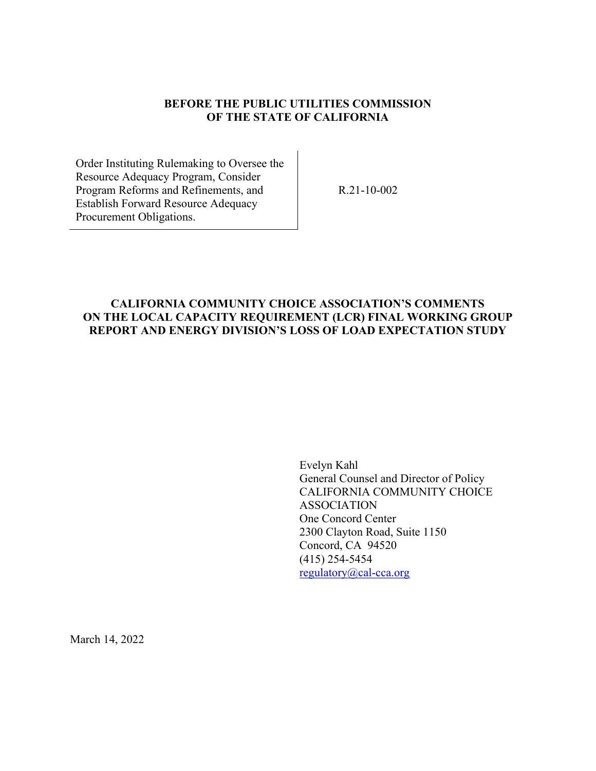### **BEFORE THE PUBLIC UTILITIES COMMISSION OF THE STATE OF CALIFORNIA**

Order Instituting Rulemaking to Oversee the Resource Adequacy Program, Consider Program Reforms and Refinements, and Establish Forward Resource Adequacy Procurement Obligations.

R.21-10-002

### **CALIFORNIA COMMUNITY CHOICE ASSOCIATION'S COMMENTS ON THE LOCAL CAPACITY REQUIREMENT (LCR) FINAL WORKING GROUP REPORT AND ENERGY DIVISION'S LOSS OF LOAD EXPECTATION STUDY**

Evelyn Kahl General Counsel and Director of Policy CALIFORNIA COMMUNITY CHOICE ASSOCIATION One Concord Center 2300 Clayton Road, Suite 1150 Concord, CA 94520 (415) 254-5454 [regulatory@cal-cca.org](mailto:regulatory@cal-cca.org)

March 14, 2022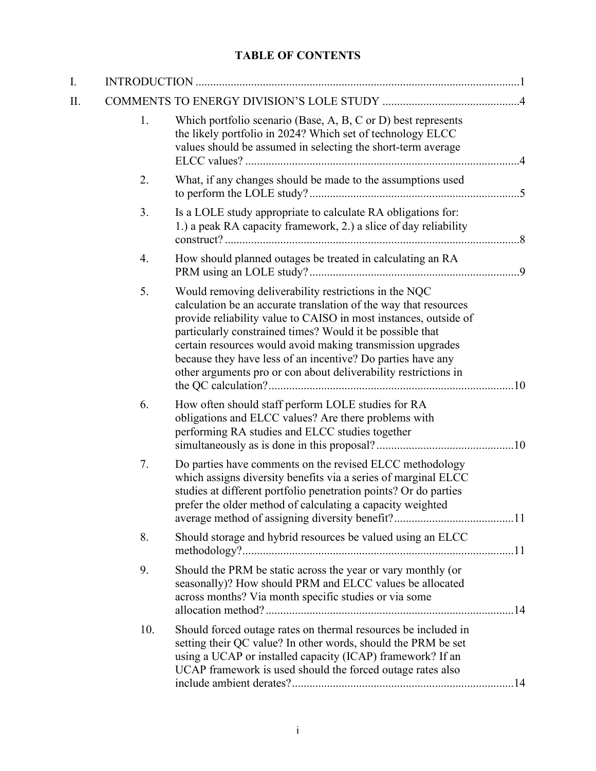# **TABLE OF CONTENTS**

| I. |     |                                                                                                                                                                                                                                                                                                                                                                                                                                                            |  |
|----|-----|------------------------------------------------------------------------------------------------------------------------------------------------------------------------------------------------------------------------------------------------------------------------------------------------------------------------------------------------------------------------------------------------------------------------------------------------------------|--|
| Π. |     |                                                                                                                                                                                                                                                                                                                                                                                                                                                            |  |
|    | 1.  | Which portfolio scenario (Base, A, B, C or D) best represents<br>the likely portfolio in 2024? Which set of technology ELCC<br>values should be assumed in selecting the short-term average                                                                                                                                                                                                                                                                |  |
|    | 2.  | What, if any changes should be made to the assumptions used                                                                                                                                                                                                                                                                                                                                                                                                |  |
|    | 3.  | Is a LOLE study appropriate to calculate RA obligations for:<br>1.) a peak RA capacity framework, 2.) a slice of day reliability                                                                                                                                                                                                                                                                                                                           |  |
|    | 4.  | How should planned outages be treated in calculating an RA                                                                                                                                                                                                                                                                                                                                                                                                 |  |
|    | 5.  | Would removing deliverability restrictions in the NQC<br>calculation be an accurate translation of the way that resources<br>provide reliability value to CAISO in most instances, outside of<br>particularly constrained times? Would it be possible that<br>certain resources would avoid making transmission upgrades<br>because they have less of an incentive? Do parties have any<br>other arguments pro or con about deliverability restrictions in |  |
|    | 6.  | How often should staff perform LOLE studies for RA<br>obligations and ELCC values? Are there problems with<br>performing RA studies and ELCC studies together                                                                                                                                                                                                                                                                                              |  |
|    | 7.  | Do parties have comments on the revised ELCC methodology<br>which assigns diversity benefits via a series of marginal ELCC<br>studies at different portfolio penetration points? Or do parties<br>prefer the older method of calculating a capacity weighted                                                                                                                                                                                               |  |
|    | 8.  | Should storage and hybrid resources be valued using an ELCC                                                                                                                                                                                                                                                                                                                                                                                                |  |
|    | 9.  | Should the PRM be static across the year or vary monthly (or<br>seasonally)? How should PRM and ELCC values be allocated<br>across months? Via month specific studies or via some                                                                                                                                                                                                                                                                          |  |
|    | 10. | Should forced outage rates on thermal resources be included in<br>setting their QC value? In other words, should the PRM be set<br>using a UCAP or installed capacity (ICAP) framework? If an<br>UCAP framework is used should the forced outage rates also                                                                                                                                                                                                |  |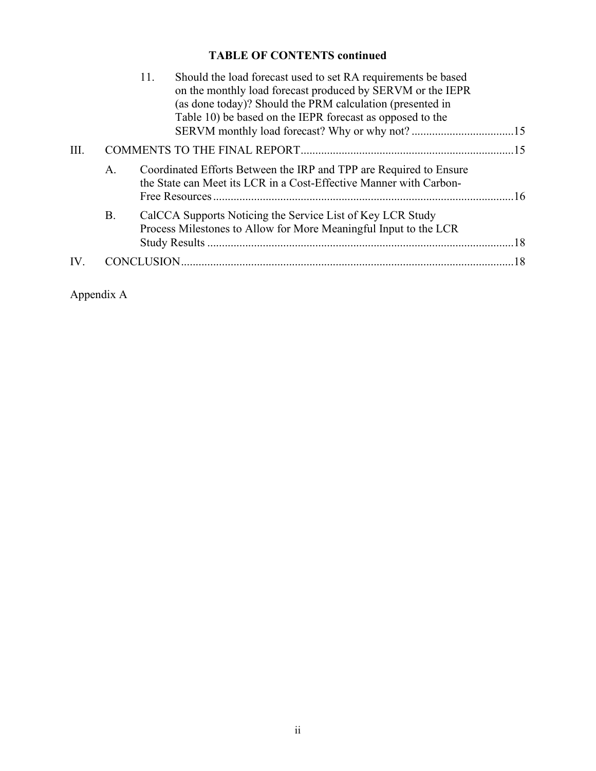# **TABLE OF CONTENTS continued**

|      |           | Should the load forecast used to set RA requirements be based<br>11.                                                                     |  |  |  |  |
|------|-----------|------------------------------------------------------------------------------------------------------------------------------------------|--|--|--|--|
|      |           | on the monthly load forecast produced by SERVM or the IEPR                                                                               |  |  |  |  |
|      |           | (as done today)? Should the PRM calculation (presented in                                                                                |  |  |  |  |
|      |           | Table 10) be based on the IEPR forecast as opposed to the                                                                                |  |  |  |  |
|      |           |                                                                                                                                          |  |  |  |  |
| III. |           |                                                                                                                                          |  |  |  |  |
|      | A.        | Coordinated Efforts Between the IRP and TPP are Required to Ensure<br>the State can Meet its LCR in a Cost-Effective Manner with Carbon- |  |  |  |  |
|      |           |                                                                                                                                          |  |  |  |  |
|      | <b>B.</b> | CalCCA Supports Noticing the Service List of Key LCR Study                                                                               |  |  |  |  |
|      |           | Process Milestones to Allow for More Meaningful Input to the LCR                                                                         |  |  |  |  |
|      |           |                                                                                                                                          |  |  |  |  |
| IV.  |           |                                                                                                                                          |  |  |  |  |
|      |           |                                                                                                                                          |  |  |  |  |

Appendix A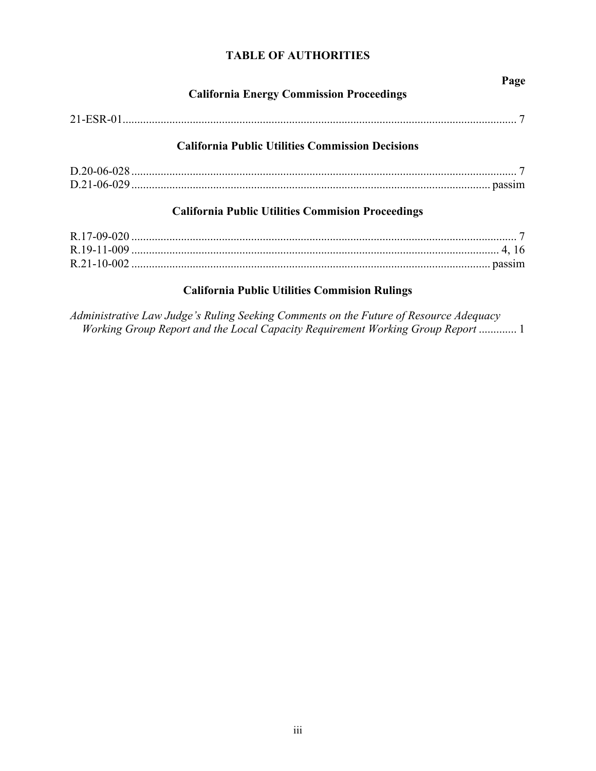# **TABLE OF AUTHORITIES**

| <b>California Energy Commission Proceedings</b>          | Page |
|----------------------------------------------------------|------|
|                                                          |      |
| <b>California Public Utilities Commission Decisions</b>  |      |
|                                                          |      |
| <b>California Public Utilities Commision Proceedings</b> |      |
|                                                          |      |
|                                                          |      |
|                                                          |      |

# **California Public Utilities Commision Rulings**

*Administrative Law Judge's Ruling Seeking Comments on the Future of Resource Adequacy Working Group Report and the Local Capacity Requirement Working Group Report* ............. 1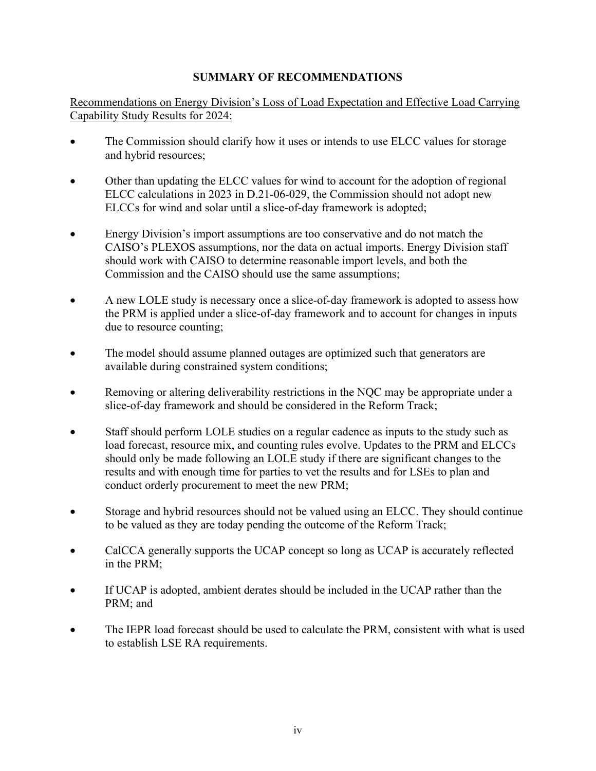# **SUMMARY OF RECOMMENDATIONS**

Recommendations on Energy Division's Loss of Load Expectation and Effective Load Carrying Capability Study Results for 2024:

- The Commission should clarify how it uses or intends to use ELCC values for storage and hybrid resources;
- Other than updating the ELCC values for wind to account for the adoption of regional ELCC calculations in 2023 in D.21-06-029, the Commission should not adopt new ELCCs for wind and solar until a slice-of-day framework is adopted;
- Energy Division's import assumptions are too conservative and do not match the CAISO's PLEXOS assumptions, nor the data on actual imports. Energy Division staff should work with CAISO to determine reasonable import levels, and both the Commission and the CAISO should use the same assumptions;
- A new LOLE study is necessary once a slice-of-day framework is adopted to assess how the PRM is applied under a slice-of-day framework and to account for changes in inputs due to resource counting;
- The model should assume planned outages are optimized such that generators are available during constrained system conditions;
- Removing or altering deliverability restrictions in the NQC may be appropriate under a slice-of-day framework and should be considered in the Reform Track;
- Staff should perform LOLE studies on a regular cadence as inputs to the study such as load forecast, resource mix, and counting rules evolve. Updates to the PRM and ELCCs should only be made following an LOLE study if there are significant changes to the results and with enough time for parties to vet the results and for LSEs to plan and conduct orderly procurement to meet the new PRM;
- Storage and hybrid resources should not be valued using an ELCC. They should continue to be valued as they are today pending the outcome of the Reform Track;
- CalCCA generally supports the UCAP concept so long as UCAP is accurately reflected in the PRM;
- If UCAP is adopted, ambient derates should be included in the UCAP rather than the PRM; and
- The IEPR load forecast should be used to calculate the PRM, consistent with what is used to establish LSE RA requirements.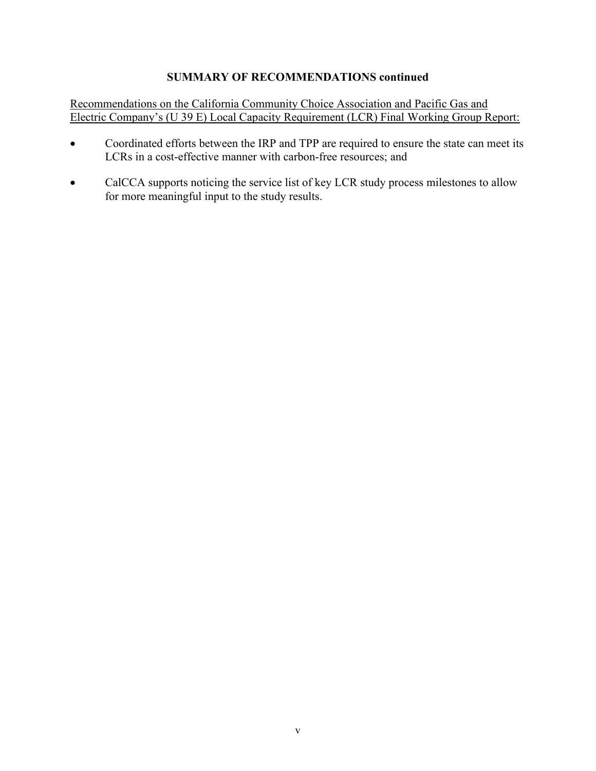### **SUMMARY OF RECOMMENDATIONS continued**

Recommendations on the California Community Choice Association and Pacific Gas and Electric Company's (U 39 E) Local Capacity Requirement (LCR) Final Working Group Report:

- Coordinated efforts between the IRP and TPP are required to ensure the state can meet its LCRs in a cost-effective manner with carbon-free resources; and
- CalCCA supports noticing the service list of key LCR study process milestones to allow for more meaningful input to the study results.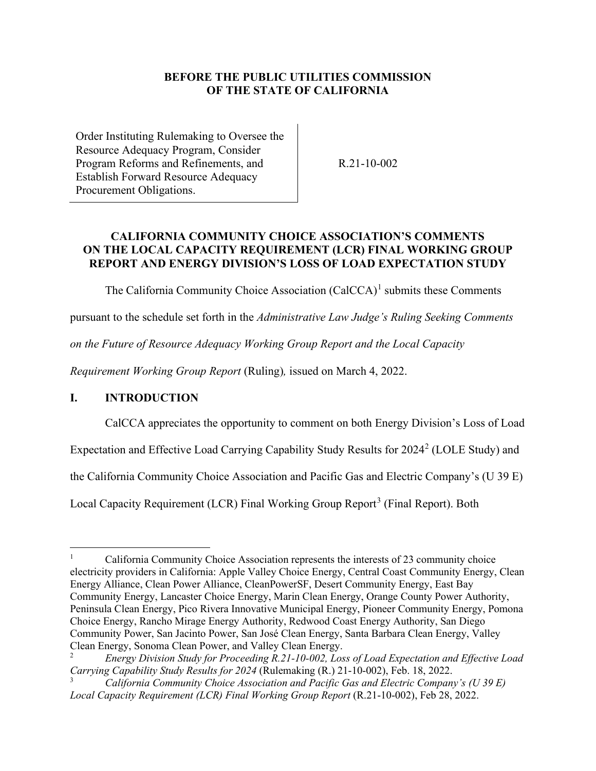### **BEFORE THE PUBLIC UTILITIES COMMISSION OF THE STATE OF CALIFORNIA**

Order Instituting Rulemaking to Oversee the Resource Adequacy Program, Consider Program Reforms and Refinements, and Establish Forward Resource Adequacy Procurement Obligations.

R.21-10-002

# **CALIFORNIA COMMUNITY CHOICE ASSOCIATION'S COMMENTS ON THE LOCAL CAPACITY REQUIREMENT (LCR) FINAL WORKING GROUP REPORT AND ENERGY DIVISION'S LOSS OF LOAD EXPECTATION STUDY**

The California Community Choice Association  $(CaICCA)^1$  $(CaICCA)^1$  submits these Comments

pursuant to the schedule set forth in the *Administrative Law Judge's Ruling Seeking Comments* 

*on the Future of Resource Adequacy Working Group Report and the Local Capacity* 

*Requirement Working Group Report* (Ruling)*,* issued on March 4, 2022.

# <span id="page-6-0"></span>**I. INTRODUCTION**

CalCCA appreciates the opportunity to comment on both Energy Division's Loss of Load

Expectation and Effective Load Carrying Capability Study Results for  $2024^2$  $2024^2$  (LOLE Study) and

the California Community Choice Association and Pacific Gas and Electric Company's (U 39 E)

Local Capacity Requirement (LCR) Final Working Group Report<sup>[3](#page-7-1)</sup> (Final Report). Both

<span id="page-6-1"></span><sup>1</sup> California Community Choice Association represents the interests of 23 community choice electricity providers in California: Apple Valley Choice Energy, Central Coast Community Energy, Clean Energy Alliance, Clean Power Alliance, CleanPowerSF, Desert Community Energy, East Bay Community Energy, Lancaster Choice Energy, Marin Clean Energy, Orange County Power Authority, Peninsula Clean Energy, Pico Rivera Innovative Municipal Energy, Pioneer Community Energy, Pomona Choice Energy, Rancho Mirage Energy Authority, Redwood Coast Energy Authority, San Diego Community Power, San Jacinto Power, San José Clean Energy, Santa Barbara Clean Energy, Valley Clean Energy, Sonoma Clean Power, and Valley Clean Energy.

<sup>2</sup> *Energy Division Study for Proceeding R.21-10-002, Loss of Load Expectation and Effective Load Carrying Capability Study Results for 2024* (Rulemaking (R.) 21-10-002), Feb. 18, 2022.

<sup>3</sup> *California Community Choice Association and Pacific Gas and Electric Company's (U 39 E) Local Capacity Requirement (LCR) Final Working Group Report* (R.21-10-002), Feb 28, 2022.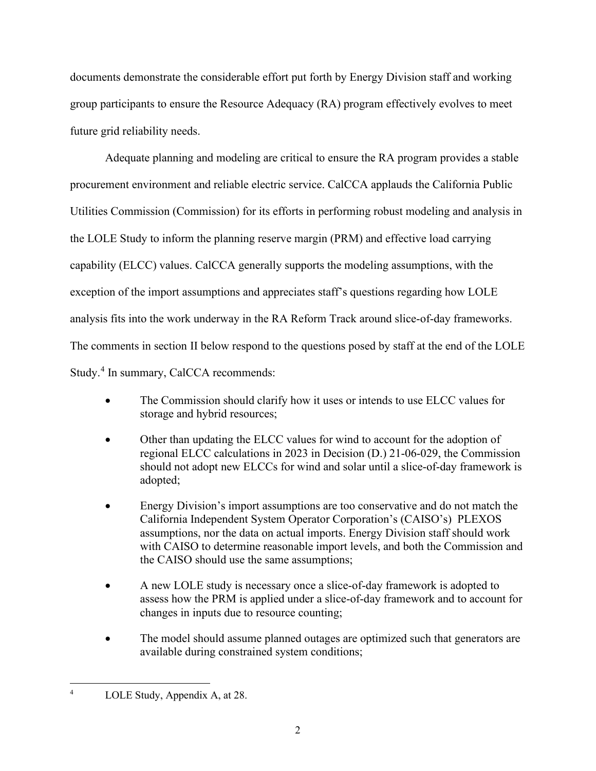documents demonstrate the considerable effort put forth by Energy Division staff and working group participants to ensure the Resource Adequacy (RA) program effectively evolves to meet future grid reliability needs.

Adequate planning and modeling are critical to ensure the RA program provides a stable procurement environment and reliable electric service. CalCCA applauds the California Public Utilities Commission (Commission) for its efforts in performing robust modeling and analysis in the LOLE Study to inform the planning reserve margin (PRM) and effective load carrying capability (ELCC) values. CalCCA generally supports the modeling assumptions, with the exception of the import assumptions and appreciates staff's questions regarding how LOLE analysis fits into the work underway in the RA Reform Track around slice-of-day frameworks. The comments in section II below respond to the questions posed by staff at the end of the LOLE Study.<sup>[4](#page-7-2)</sup> In summary, CalCCA recommends:

- The Commission should clarify how it uses or intends to use ELCC values for storage and hybrid resources;
- Other than updating the ELCC values for wind to account for the adoption of regional ELCC calculations in 2023 in Decision (D.) 21-06-029, the Commission should not adopt new ELCCs for wind and solar until a slice-of-day framework is adopted;
- Energy Division's import assumptions are too conservative and do not match the California Independent System Operator Corporation's (CAISO's) PLEXOS assumptions, nor the data on actual imports. Energy Division staff should work with CAISO to determine reasonable import levels, and both the Commission and the CAISO should use the same assumptions;
- A new LOLE study is necessary once a slice-of-day framework is adopted to assess how the PRM is applied under a slice-of-day framework and to account for changes in inputs due to resource counting;
- The model should assume planned outages are optimized such that generators are available during constrained system conditions;

<span id="page-7-2"></span><span id="page-7-1"></span><span id="page-7-0"></span><sup>4</sup> LOLE Study, Appendix A, at 28.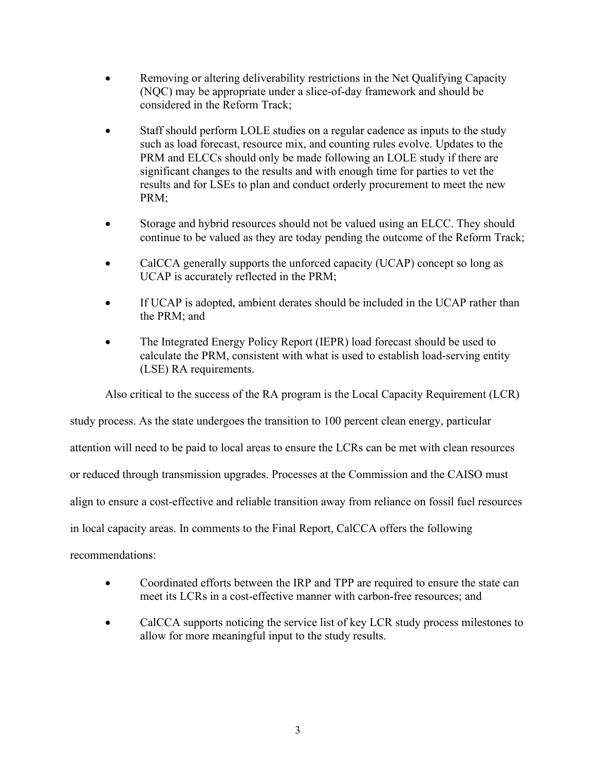- Removing or altering deliverability restrictions in the Net Qualifying Capacity (NQC) may be appropriate under a slice-of-day framework and should be considered in the Reform Track;
- Staff should perform LOLE studies on a regular cadence as inputs to the study such as load forecast, resource mix, and counting rules evolve. Updates to the PRM and ELCCs should only be made following an LOLE study if there are significant changes to the results and with enough time for parties to vet the results and for LSEs to plan and conduct orderly procurement to meet the new PRM;
- Storage and hybrid resources should not be valued using an ELCC. They should continue to be valued as they are today pending the outcome of the Reform Track;
- CalCCA generally supports the unforced capacity (UCAP) concept so long as UCAP is accurately reflected in the PRM;
- If UCAP is adopted, ambient derates should be included in the UCAP rather than the PRM; and
- The Integrated Energy Policy Report (IEPR) load forecast should be used to calculate the PRM, consistent with what is used to establish load-serving entity (LSE) RA requirements.

Also critical to the success of the RA program is the Local Capacity Requirement (LCR)

study process. As the state undergoes the transition to 100 percent clean energy, particular

attention will need to be paid to local areas to ensure the LCRs can be met with clean resources

or reduced through transmission upgrades. Processes at the Commission and the CAISO must

align to ensure a cost-effective and reliable transition away from reliance on fossil fuel resources

in local capacity areas. In comments to the Final Report, CalCCA offers the following

recommendations:

- Coordinated efforts between the IRP and TPP are required to ensure the state can meet its LCRs in a cost-effective manner with carbon-free resources; and
- CalCCA supports noticing the service list of key LCR study process milestones to allow for more meaningful input to the study results.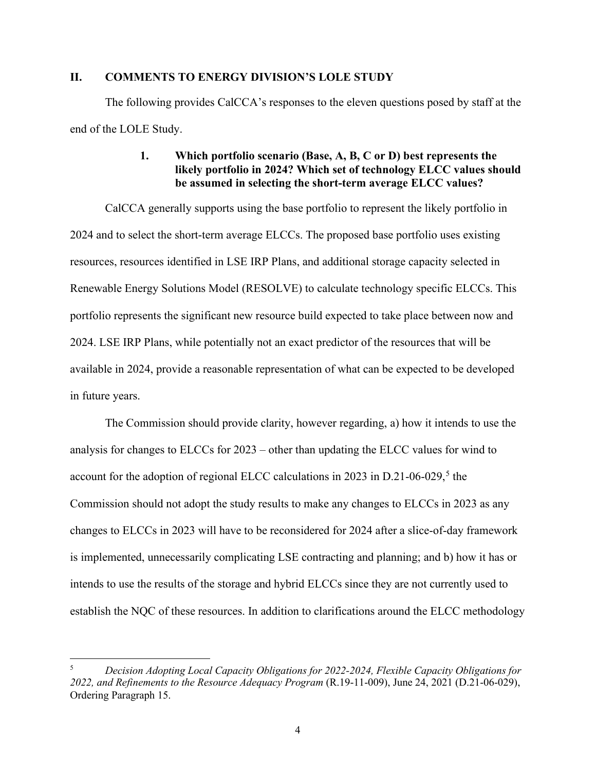#### <span id="page-9-0"></span>**II. COMMENTS TO ENERGY DIVISION'S LOLE STUDY**

<span id="page-9-1"></span>The following provides CalCCA's responses to the eleven questions posed by staff at the end of the LOLE Study.

### **1. Which portfolio scenario (Base, A, B, C or D) best represents the likely portfolio in 2024? Which set of technology ELCC values should be assumed in selecting the short-term average ELCC values?**

CalCCA generally supports using the base portfolio to represent the likely portfolio in 2024 and to select the short-term average ELCCs. The proposed base portfolio uses existing resources, resources identified in LSE IRP Plans, and additional storage capacity selected in Renewable Energy Solutions Model (RESOLVE) to calculate technology specific ELCCs. This portfolio represents the significant new resource build expected to take place between now and 2024. LSE IRP Plans, while potentially not an exact predictor of the resources that will be available in 2024, provide a reasonable representation of what can be expected to be developed in future years.

The Commission should provide clarity, however regarding, a) how it intends to use the analysis for changes to ELCCs for 2023 – other than updating the ELCC values for wind to account for the adoption of regional ELCC calculations in 2023 in  $D.21$ -06-029,<sup>[5](#page-10-1)</sup> the Commission should not adopt the study results to make any changes to ELCCs in 2023 as any changes to ELCCs in 2023 will have to be reconsidered for 2024 after a slice-of-day framework is implemented, unnecessarily complicating LSE contracting and planning; and b) how it has or intends to use the results of the storage and hybrid ELCCs since they are not currently used to establish the NQC of these resources. In addition to clarifications around the ELCC methodology

<sup>5</sup> *Decision Adopting Local Capacity Obligations for 2022-2024, Flexible Capacity Obligations for 2022, and Refinements to the Resource Adequacy Program* (R.19-11-009), June 24, 2021 (D.21-06-029), Ordering Paragraph 15.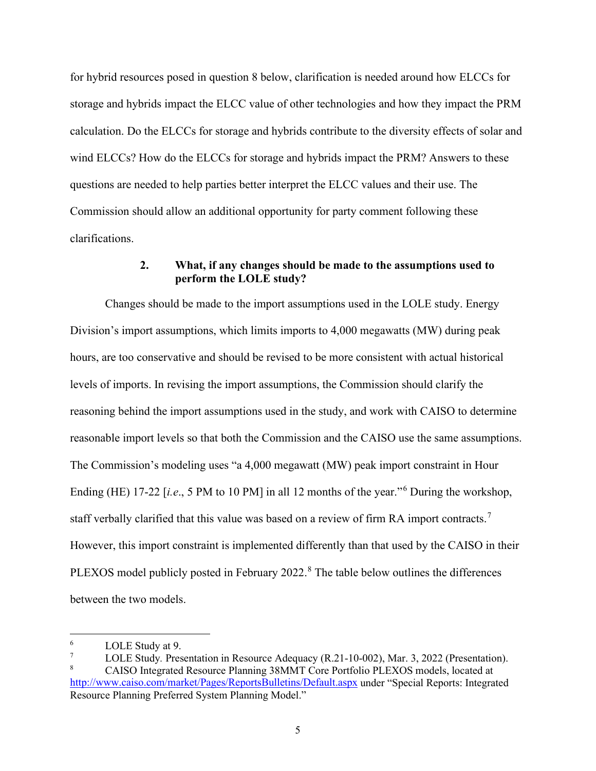for hybrid resources posed in question 8 below, clarification is needed around how ELCCs for storage and hybrids impact the ELCC value of other technologies and how they impact the PRM calculation. Do the ELCCs for storage and hybrids contribute to the diversity effects of solar and wind ELCCs? How do the ELCCs for storage and hybrids impact the PRM? Answers to these questions are needed to help parties better interpret the ELCC values and their use. The Commission should allow an additional opportunity for party comment following these clarifications.

## **2. What, if any changes should be made to the assumptions used to perform the LOLE study?**

<span id="page-10-0"></span>Changes should be made to the import assumptions used in the LOLE study. Energy Division's import assumptions, which limits imports to 4,000 megawatts (MW) during peak hours, are too conservative and should be revised to be more consistent with actual historical levels of imports. In revising the import assumptions, the Commission should clarify the reasoning behind the import assumptions used in the study, and work with CAISO to determine reasonable import levels so that both the Commission and the CAISO use the same assumptions. The Commission's modeling uses "a 4,000 megawatt (MW) peak import constraint in Hour Ending (HE) 17-22 [*i.e.*, 5 PM to 10 PM] in all 12 months of the year."<sup>[6](#page-11-0)</sup> During the workshop, staff verbally clarified that this value was based on a review of firm RA import contracts.[7](#page-11-1) However, this import constraint is implemented differently than that used by the CAISO in their PLEXOS model publicly posted in February 2022.<sup>[8](#page-11-2)</sup> The table below outlines the differences between the two models.

<sup>6</sup>  $\frac{6}{7}$  LOLE Study at 9.

<span id="page-10-1"></span>LOLE Study. Presentation in Resource Adequacy (R.21-10-002), Mar. 3, 2022 (Presentation). CAISO Integrated Resource Planning 38MMT Core Portfolio PLEXOS models, located at <http://www.caiso.com/market/Pages/ReportsBulletins/Default.aspx>under "Special Reports: Integrated Resource Planning Preferred System Planning Model."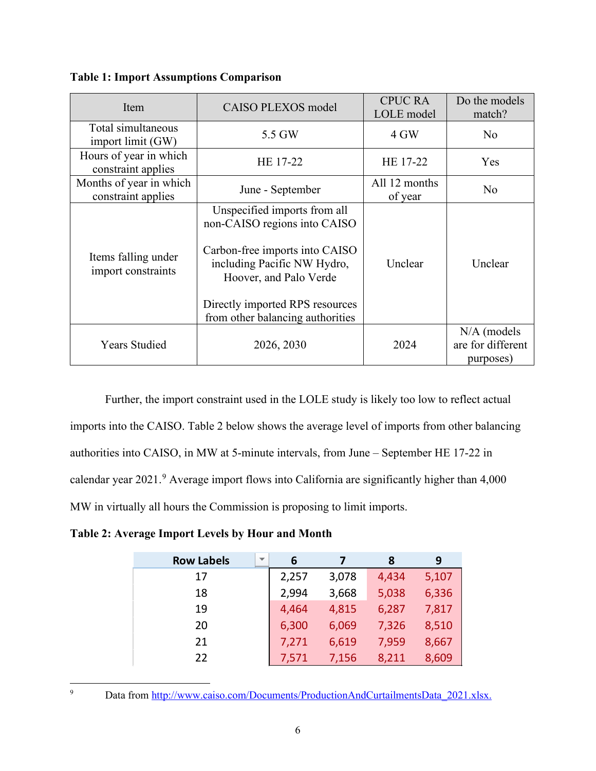| Item                                          | CAISO PLEXOS model                                                                                                                                                                                                             | <b>CPUC RA</b><br>LOLE model | Do the models<br>match?                         |  |
|-----------------------------------------------|--------------------------------------------------------------------------------------------------------------------------------------------------------------------------------------------------------------------------------|------------------------------|-------------------------------------------------|--|
| Total simultaneous<br>import limit (GW)       | 5.5 GW                                                                                                                                                                                                                         | 4 GW                         | No.                                             |  |
| Hours of year in which<br>constraint applies  | HE 17-22                                                                                                                                                                                                                       | HE 17-22                     | Yes                                             |  |
| Months of year in which<br>constraint applies | June - September                                                                                                                                                                                                               | All 12 months<br>of year     | No                                              |  |
| Items falling under<br>import constraints     | Unspecified imports from all<br>non-CAISO regions into CAISO<br>Carbon-free imports into CAISO<br>including Pacific NW Hydro,<br>Hoover, and Palo Verde<br>Directly imported RPS resources<br>from other balancing authorities | Unclear                      | Unclear                                         |  |
| <b>Years Studied</b>                          | 2026, 2030                                                                                                                                                                                                                     | 2024                         | $N/A$ (models<br>are for different<br>purposes) |  |

**Table 1: Import Assumptions Comparison** 

Further, the import constraint used in the LOLE study is likely too low to reflect actual imports into the CAISO. Table 2 below shows the average level of imports from other balancing authorities into CAISO, in MW at 5-minute intervals, from June – September HE 17-22 in calendar year 2021.<sup>[9](#page-12-0)</sup> Average import flows into California are significantly higher than 4,000 MW in virtually all hours the Commission is proposing to limit imports.

**Table 2: Average Import Levels by Hour and Month** 

| <b>Row Labels</b><br>$\overline{\phantom{a}}$ | 6     |       | 8     | 9     |
|-----------------------------------------------|-------|-------|-------|-------|
| 17                                            | 2,257 | 3,078 | 4,434 | 5,107 |
| 18                                            | 2,994 | 3,668 | 5,038 | 6,336 |
| 19                                            | 4,464 | 4,815 | 6,287 | 7,817 |
| 20                                            | 6,300 | 6,069 | 7,326 | 8,510 |
| 21                                            | 7,271 | 6,619 | 7,959 | 8,667 |
| 22                                            | 7,571 | 7,156 | 8,211 | 8,609 |

<span id="page-11-2"></span><span id="page-11-1"></span><span id="page-11-0"></span><sup>9</sup> Data from [http://www.caiso.com/Documents/ProductionAndCurtailmentsData\\_2021.xlsx.](http://www.caiso.com/Documents/ProductionAndCurtailmentsData_2021.xlsx)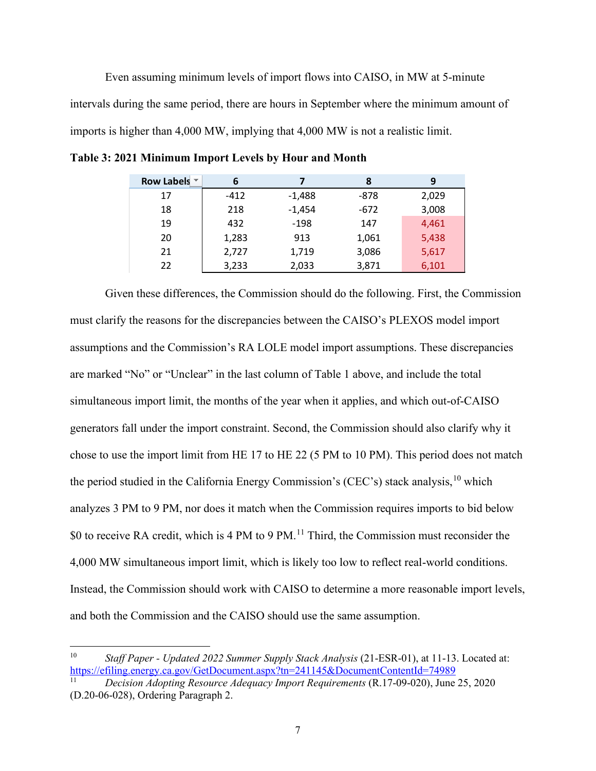Even assuming minimum levels of import flows into CAISO, in MW at 5-minute intervals during the same period, there are hours in September where the minimum amount of imports is higher than 4,000 MW, implying that 4,000 MW is not a realistic limit.

| Row Labels ▼ | 6      |          | 8      | 9     |
|--------------|--------|----------|--------|-------|
| 17           | $-412$ | $-1,488$ | -878   | 2,029 |
| 18           | 218    | $-1,454$ | $-672$ | 3,008 |
| 19           | 432    | $-198$   | 147    | 4,461 |
| 20           | 1,283  | 913      | 1,061  | 5,438 |
| 21           | 2,727  | 1,719    | 3,086  | 5,617 |
| 22           | 3,233  | 2,033    | 3,871  | 6,101 |

**Table 3: 2021 Minimum Import Levels by Hour and Month** 

Given these differences, the Commission should do the following. First, the Commission must clarify the reasons for the discrepancies between the CAISO's PLEXOS model import assumptions and the Commission's RA LOLE model import assumptions. These discrepancies are marked "No" or "Unclear" in the last column of Table 1 above, and include the total simultaneous import limit, the months of the year when it applies, and which out-of-CAISO generators fall under the import constraint. Second, the Commission should also clarify why it chose to use the import limit from HE 17 to HE 22 (5 PM to 10 PM). This period does not match the period studied in the California Energy Commission's (CEC's) stack analysis,<sup>10</sup> which analyzes 3 PM to 9 PM, nor does it match when the Commission requires imports to bid below \$0 to receive RA credit, which is 4 PM to 9 PM.<sup>11</sup> Third, the Commission must reconsider the 4,000 MW simultaneous import limit, which is likely too low to reflect real-world conditions. Instead, the Commission should work with CAISO to determine a more reasonable import levels, and both the Commission and the CAISO should use the same assumption.

<sup>10</sup> *Staff Paper - Updated 2022 Summer Supply Stack Analysis* (21-ESR-01), at 11-13. Located at: <https://efiling.energy.ca.gov/GetDocument.aspx?tn=241145&DocumentContentId=74989>11 *Decision Adopting Resource Adequacy Import Requirements* (R.17-09-020), June 25, 2020

<span id="page-12-0"></span><sup>(</sup>D.20-06-028), Ordering Paragraph 2.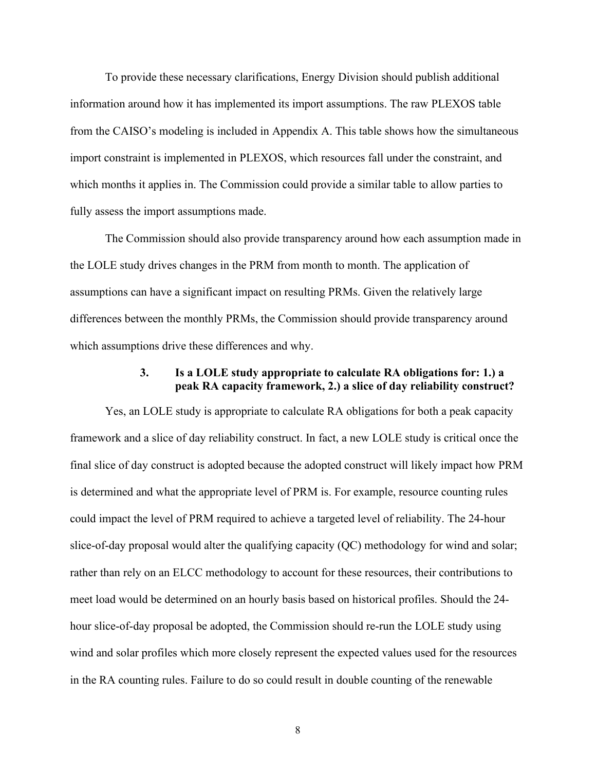To provide these necessary clarifications, Energy Division should publish additional information around how it has implemented its import assumptions. The raw PLEXOS table from the CAISO's modeling is included in Appendix A. This table shows how the simultaneous import constraint is implemented in PLEXOS, which resources fall under the constraint, and which months it applies in. The Commission could provide a similar table to allow parties to fully assess the import assumptions made.

The Commission should also provide transparency around how each assumption made in the LOLE study drives changes in the PRM from month to month. The application of assumptions can have a significant impact on resulting PRMs. Given the relatively large differences between the monthly PRMs, the Commission should provide transparency around which assumptions drive these differences and why.

#### **3. Is a LOLE study appropriate to calculate RA obligations for: 1.) a peak RA capacity framework, 2.) a slice of day reliability construct?**

<span id="page-13-2"></span><span id="page-13-1"></span><span id="page-13-0"></span>Yes, an LOLE study is appropriate to calculate RA obligations for both a peak capacity framework and a slice of day reliability construct. In fact, a new LOLE study is critical once the final slice of day construct is adopted because the adopted construct will likely impact how PRM is determined and what the appropriate level of PRM is. For example, resource counting rules could impact the level of PRM required to achieve a targeted level of reliability. The 24-hour slice-of-day proposal would alter the qualifying capacity (QC) methodology for wind and solar; rather than rely on an ELCC methodology to account for these resources, their contributions to meet load would be determined on an hourly basis based on historical profiles. Should the 24 hour slice-of-day proposal be adopted, the Commission should re-run the LOLE study using wind and solar profiles which more closely represent the expected values used for the resources in the RA counting rules. Failure to do so could result in double counting of the renewable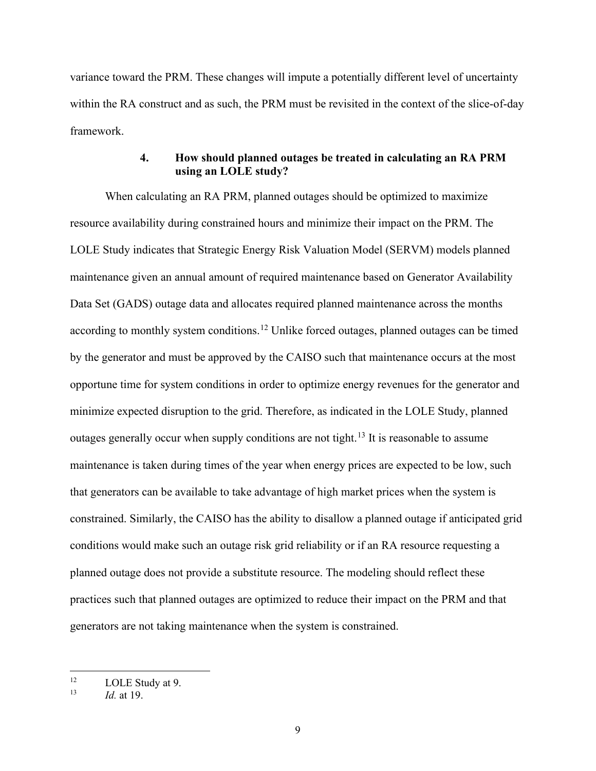variance toward the PRM. These changes will impute a potentially different level of uncertainty within the RA construct and as such, the PRM must be revisited in the context of the slice-of-day framework.

# **4. How should planned outages be treated in calculating an RA PRM using an LOLE study?**

<span id="page-14-0"></span>When calculating an RA PRM, planned outages should be optimized to maximize resource availability during constrained hours and minimize their impact on the PRM. The LOLE Study indicates that Strategic Energy Risk Valuation Model (SERVM) models planned maintenance given an annual amount of required maintenance based on Generator Availability Data Set (GADS) outage data and allocates required planned maintenance across the months according to monthly system conditions.<sup>12</sup> Unlike forced outages, planned outages can be timed by the generator and must be approved by the CAISO such that maintenance occurs at the most opportune time for system conditions in order to optimize energy revenues for the generator and minimize expected disruption to the grid. Therefore, as indicated in the LOLE Study, planned outages generally occur when supply conditions are not tight.<sup>13</sup> It is reasonable to assume maintenance is taken during times of the year when energy prices are expected to be low, such that generators can be available to take advantage of high market prices when the system is constrained. Similarly, the CAISO has the ability to disallow a planned outage if anticipated grid conditions would make such an outage risk grid reliability or if an RA resource requesting a planned outage does not provide a substitute resource. The modeling should reflect these practices such that planned outages are optimized to reduce their impact on the PRM and that generators are not taking maintenance when the system is constrained.

<span id="page-14-1"></span><sup>&</sup>lt;sup>12</sup> LOLE Study at 9.<br> $\frac{13}{13}$  Lot 10

*Id.* at 19.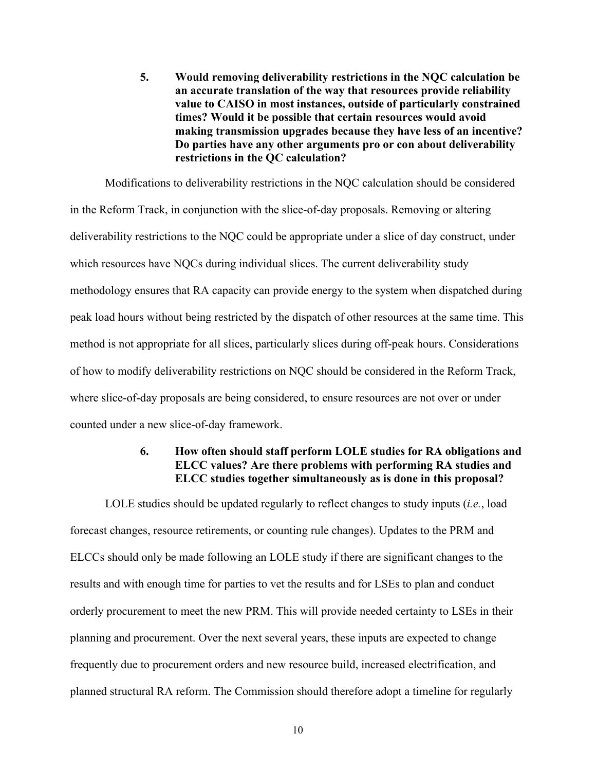<span id="page-15-0"></span>**5. Would removing deliverability restrictions in the NQC calculation be an accurate translation of the way that resources provide reliability value to CAISO in most instances, outside of particularly constrained times? Would it be possible that certain resources would avoid making transmission upgrades because they have less of an incentive? Do parties have any other arguments pro or con about deliverability restrictions in the QC calculation?**

Modifications to deliverability restrictions in the NQC calculation should be considered in the Reform Track, in conjunction with the slice-of-day proposals. Removing or altering deliverability restrictions to the NQC could be appropriate under a slice of day construct, under which resources have NQCs during individual slices. The current deliverability study methodology ensures that RA capacity can provide energy to the system when dispatched during peak load hours without being restricted by the dispatch of other resources at the same time. This method is not appropriate for all slices, particularly slices during off-peak hours. Considerations of how to modify deliverability restrictions on NQC should be considered in the Reform Track, where slice-of-day proposals are being considered, to ensure resources are not over or under counted under a new slice-of-day framework.

# **6. How often should staff perform LOLE studies for RA obligations and ELCC values? Are there problems with performing RA studies and ELCC studies together simultaneously as is done in this proposal?**

<span id="page-15-2"></span><span id="page-15-1"></span>LOLE studies should be updated regularly to reflect changes to study inputs (*i.e.*, load forecast changes, resource retirements, or counting rule changes). Updates to the PRM and ELCCs should only be made following an LOLE study if there are significant changes to the results and with enough time for parties to vet the results and for LSEs to plan and conduct orderly procurement to meet the new PRM. This will provide needed certainty to LSEs in their planning and procurement. Over the next several years, these inputs are expected to change frequently due to procurement orders and new resource build, increased electrification, and planned structural RA reform. The Commission should therefore adopt a timeline for regularly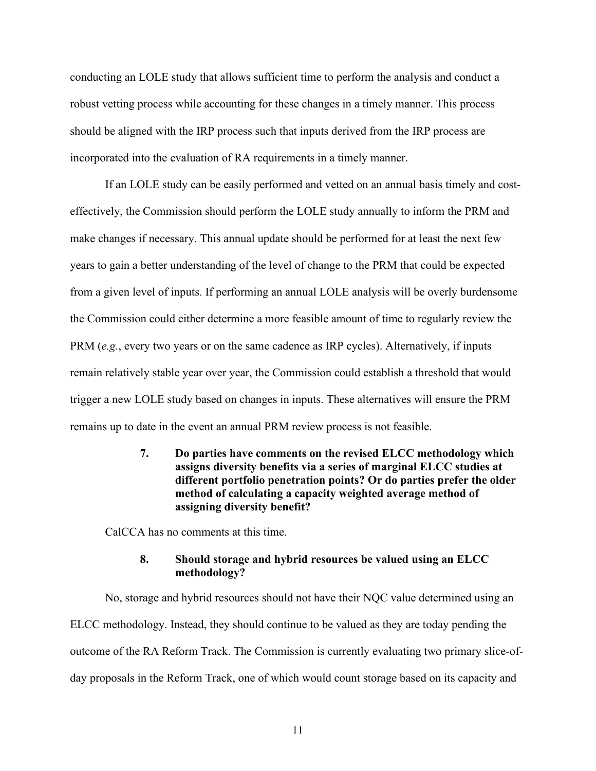conducting an LOLE study that allows sufficient time to perform the analysis and conduct a robust vetting process while accounting for these changes in a timely manner. This process should be aligned with the IRP process such that inputs derived from the IRP process are incorporated into the evaluation of RA requirements in a timely manner.

If an LOLE study can be easily performed and vetted on an annual basis timely and costeffectively, the Commission should perform the LOLE study annually to inform the PRM and make changes if necessary. This annual update should be performed for at least the next few years to gain a better understanding of the level of change to the PRM that could be expected from a given level of inputs. If performing an annual LOLE analysis will be overly burdensome the Commission could either determine a more feasible amount of time to regularly review the PRM (*e.g.*, every two years or on the same cadence as IRP cycles). Alternatively, if inputs remain relatively stable year over year, the Commission could establish a threshold that would trigger a new LOLE study based on changes in inputs. These alternatives will ensure the PRM remains up to date in the event an annual PRM review process is not feasible.

> <span id="page-16-0"></span>**7. Do parties have comments on the revised ELCC methodology which assigns diversity benefits via a series of marginal ELCC studies at different portfolio penetration points? Or do parties prefer the older method of calculating a capacity weighted average method of assigning diversity benefit?**

CalCCA has no comments at this time.

### **8. Should storage and hybrid resources be valued using an ELCC methodology?**

<span id="page-16-1"></span>No, storage and hybrid resources should not have their NQC value determined using an ELCC methodology. Instead, they should continue to be valued as they are today pending the outcome of the RA Reform Track. The Commission is currently evaluating two primary slice-ofday proposals in the Reform Track, one of which would count storage based on its capacity and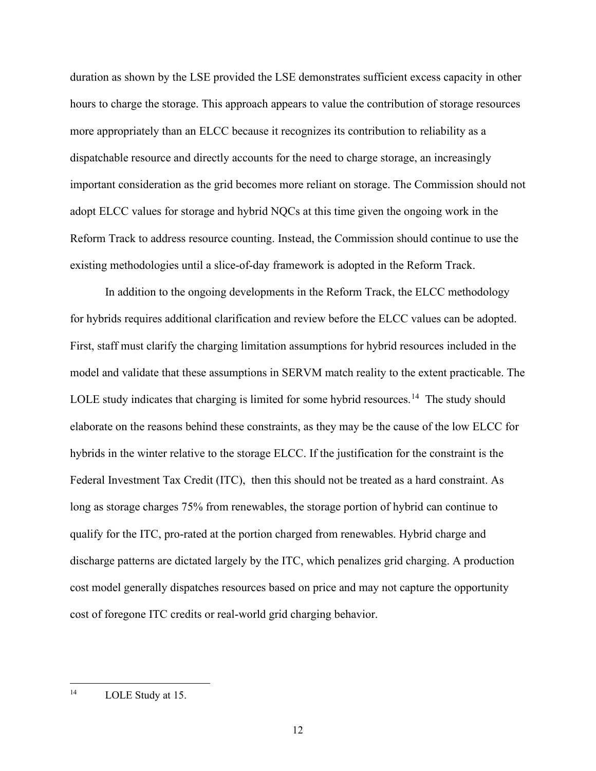duration as shown by the LSE provided the LSE demonstrates sufficient excess capacity in other hours to charge the storage. This approach appears to value the contribution of storage resources more appropriately than an ELCC because it recognizes its contribution to reliability as a dispatchable resource and directly accounts for the need to charge storage, an increasingly important consideration as the grid becomes more reliant on storage. The Commission should not adopt ELCC values for storage and hybrid NQCs at this time given the ongoing work in the Reform Track to address resource counting. Instead, the Commission should continue to use the existing methodologies until a slice-of-day framework is adopted in the Reform Track.

In addition to the ongoing developments in the Reform Track, the ELCC methodology for hybrids requires additional clarification and review before the ELCC values can be adopted. First, staff must clarify the charging limitation assumptions for hybrid resources included in the model and validate that these assumptions in SERVM match reality to the extent practicable. The LOLE study indicates that charging is limited for some hybrid resources.<sup>14</sup> The study should elaborate on the reasons behind these constraints, as they may be the cause of the low ELCC for hybrids in the winter relative to the storage ELCC. If the justification for the constraint is the Federal Investment Tax Credit (ITC), then this should not be treated as a hard constraint. As long as storage charges 75% from renewables, the storage portion of hybrid can continue to qualify for the ITC, pro-rated at the portion charged from renewables. Hybrid charge and discharge patterns are dictated largely by the ITC, which penalizes grid charging. A production cost model generally dispatches resources based on price and may not capture the opportunity cost of foregone ITC credits or real-world grid charging behavior.

<span id="page-17-0"></span><sup>&</sup>lt;sup>14</sup> LOLE Study at 15.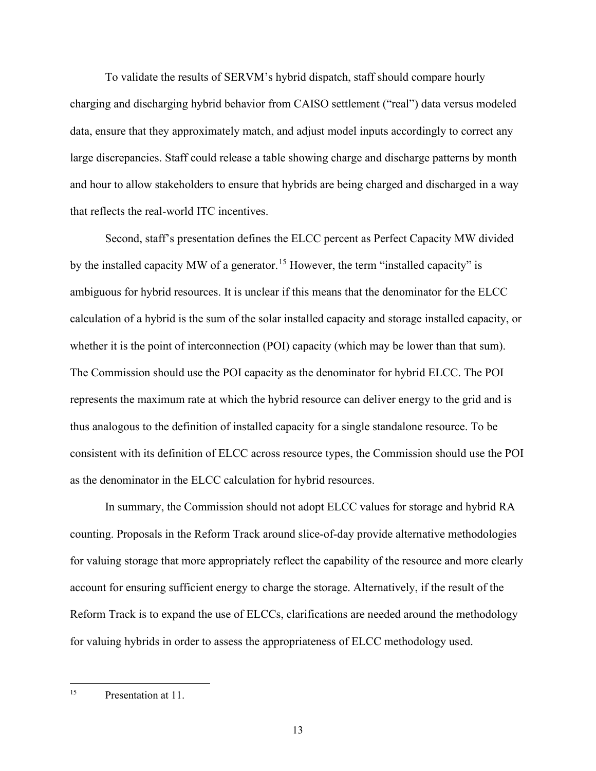To validate the results of SERVM's hybrid dispatch, staff should compare hourly charging and discharging hybrid behavior from CAISO settlement ("real") data versus modeled data, ensure that they approximately match, and adjust model inputs accordingly to correct any large discrepancies. Staff could release a table showing charge and discharge patterns by month and hour to allow stakeholders to ensure that hybrids are being charged and discharged in a way that reflects the real-world ITC incentives.

Second, staff's presentation defines the ELCC percent as Perfect Capacity MW divided by the installed capacity MW of a generator.<sup>[15](#page-18-0)</sup> However, the term "installed capacity" is ambiguous for hybrid resources. It is unclear if this means that the denominator for the ELCC calculation of a hybrid is the sum of the solar installed capacity and storage installed capacity, or whether it is the point of interconnection (POI) capacity (which may be lower than that sum). The Commission should use the POI capacity as the denominator for hybrid ELCC. The POI represents the maximum rate at which the hybrid resource can deliver energy to the grid and is thus analogous to the definition of installed capacity for a single standalone resource. To be consistent with its definition of ELCC across resource types, the Commission should use the POI as the denominator in the ELCC calculation for hybrid resources.

In summary, the Commission should not adopt ELCC values for storage and hybrid RA counting. Proposals in the Reform Track around slice-of-day provide alternative methodologies for valuing storage that more appropriately reflect the capability of the resource and more clearly account for ensuring sufficient energy to charge the storage. Alternatively, if the result of the Reform Track is to expand the use of ELCCs, clarifications are needed around the methodology for valuing hybrids in order to assess the appropriateness of ELCC methodology used.

<span id="page-18-0"></span><sup>&</sup>lt;sup>15</sup> Presentation at 11.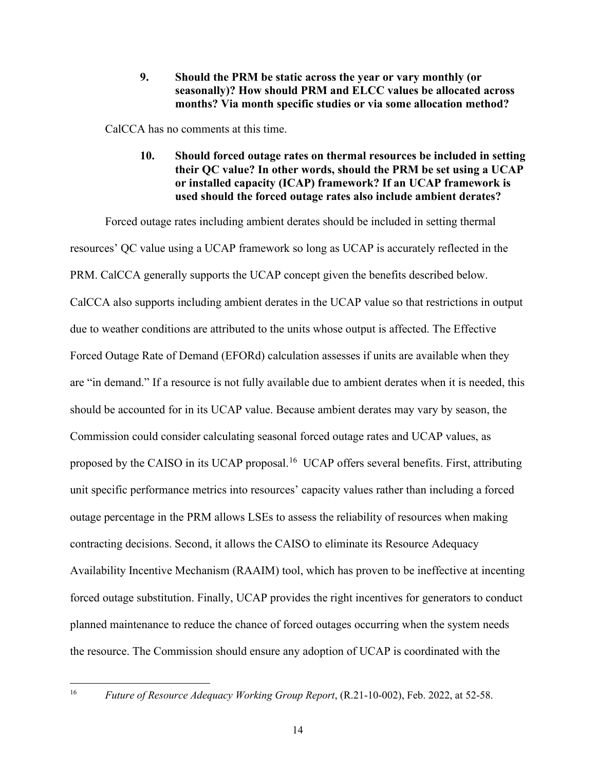**9. Should the PRM be static across the year or vary monthly (or seasonally)? How should PRM and ELCC values be allocated across months? Via month specific studies or via some allocation method?** 

<span id="page-19-1"></span><span id="page-19-0"></span>CalCCA has no comments at this time.

**10. Should forced outage rates on thermal resources be included in setting their QC value? In other words, should the PRM be set using a UCAP or installed capacity (ICAP) framework? If an UCAP framework is used should the forced outage rates also include ambient derates?**

Forced outage rates including ambient derates should be included in setting thermal resources' QC value using a UCAP framework so long as UCAP is accurately reflected in the PRM. CalCCA generally supports the UCAP concept given the benefits described below. CalCCA also supports including ambient derates in the UCAP value so that restrictions in output due to weather conditions are attributed to the units whose output is affected. The Effective Forced Outage Rate of Demand (EFORd) calculation assesses if units are available when they are "in demand." If a resource is not fully available due to ambient derates when it is needed, this should be accounted for in its UCAP value. Because ambient derates may vary by season, the Commission could consider calculating seasonal forced outage rates and UCAP values, as proposed by the CAISO in its UCAP proposal.<sup>[16](#page-20-2)</sup> UCAP offers several benefits. First, attributing unit specific performance metrics into resources' capacity values rather than including a forced outage percentage in the PRM allows LSEs to assess the reliability of resources when making contracting decisions. Second, it allows the CAISO to eliminate its Resource Adequacy Availability Incentive Mechanism (RAAIM) tool, which has proven to be ineffective at incenting forced outage substitution. Finally, UCAP provides the right incentives for generators to conduct planned maintenance to reduce the chance of forced outages occurring when the system needs the resource. The Commission should ensure any adoption of UCAP is coordinated with the

<sup>&</sup>lt;sup>16</sup> *Future of Resource Adequacy Working Group Report*, (R.21-10-002), Feb. 2022, at 52-58.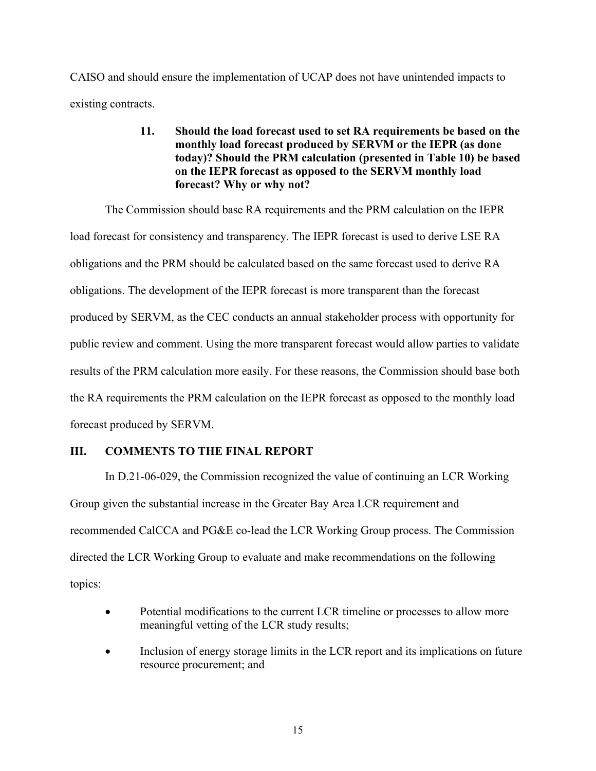<span id="page-20-0"></span>CAISO and should ensure the implementation of UCAP does not have unintended impacts to existing contracts.

## **11. Should the load forecast used to set RA requirements be based on the monthly load forecast produced by SERVM or the IEPR (as done today)? Should the PRM calculation (presented in Table 10) be based on the IEPR forecast as opposed to the SERVM monthly load forecast? Why or why not?**

The Commission should base RA requirements and the PRM calculation on the IEPR load forecast for consistency and transparency. The IEPR forecast is used to derive LSE RA obligations and the PRM should be calculated based on the same forecast used to derive RA obligations. The development of the IEPR forecast is more transparent than the forecast produced by SERVM, as the CEC conducts an annual stakeholder process with opportunity for public review and comment. Using the more transparent forecast would allow parties to validate results of the PRM calculation more easily. For these reasons, the Commission should base both the RA requirements the PRM calculation on the IEPR forecast as opposed to the monthly load forecast produced by SERVM.

### <span id="page-20-1"></span>**III. COMMENTS TO THE FINAL REPORT**

In D.21-06-029, the Commission recognized the value of continuing an LCR Working Group given the substantial increase in the Greater Bay Area LCR requirement and recommended CalCCA and PG&E co-lead the LCR Working Group process. The Commission directed the LCR Working Group to evaluate and make recommendations on the following topics:

- Potential modifications to the current LCR timeline or processes to allow more meaningful vetting of the LCR study results;
- <span id="page-20-2"></span>Inclusion of energy storage limits in the LCR report and its implications on future resource procurement; and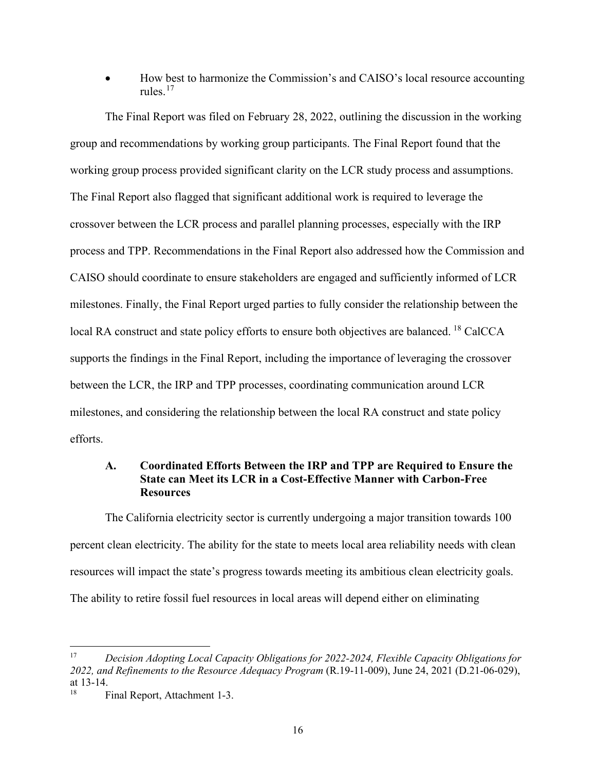• How best to harmonize the Commission's and CAISO's local resource accounting rules.[17](#page-21-1)

The Final Report was filed on February 28, 2022, outlining the discussion in the working group and recommendations by working group participants. The Final Report found that the working group process provided significant clarity on the LCR study process and assumptions. The Final Report also flagged that significant additional work is required to leverage the crossover between the LCR process and parallel planning processes, especially with the IRP process and TPP. Recommendations in the Final Report also addressed how the Commission and CAISO should coordinate to ensure stakeholders are engaged and sufficiently informed of LCR milestones. Finally, the Final Report urged parties to fully consider the relationship between the local RA construct and state policy efforts to ensure both objectives are balanced. <sup>[18](#page-21-2)</sup> CalCCA supports the findings in the Final Report, including the importance of leveraging the crossover between the LCR, the IRP and TPP processes, coordinating communication around LCR milestones, and considering the relationship between the local RA construct and state policy efforts.

### <span id="page-21-0"></span>**A. Coordinated Efforts Between the IRP and TPP are Required to Ensure the State can Meet its LCR in a Cost-Effective Manner with Carbon-Free Resources**

The California electricity sector is currently undergoing a major transition towards 100 percent clean electricity. The ability for the state to meets local area reliability needs with clean resources will impact the state's progress towards meeting its ambitious clean electricity goals. The ability to retire fossil fuel resources in local areas will depend either on eliminating

<span id="page-21-1"></span><sup>17</sup> *Decision Adopting Local Capacity Obligations for 2022-2024, Flexible Capacity Obligations for 2022, and Refinements to the Resource Adequacy Program* (R.19-11-009), June 24, 2021 (D.21-06-029), at 13-14.

<span id="page-21-2"></span><sup>&</sup>lt;sup>18</sup> Final Report, Attachment 1-3.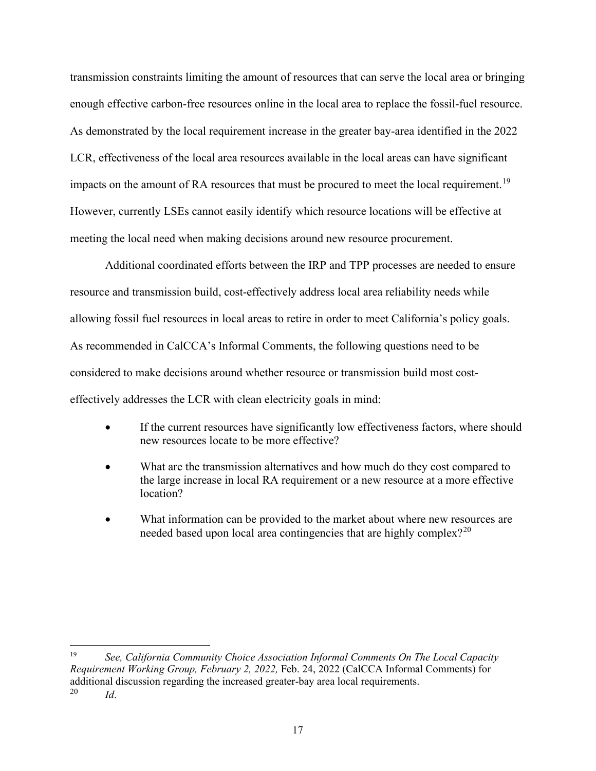transmission constraints limiting the amount of resources that can serve the local area or bringing enough effective carbon-free resources online in the local area to replace the fossil-fuel resource. As demonstrated by the local requirement increase in the greater bay-area identified in the 2022 LCR, effectiveness of the local area resources available in the local areas can have significant impacts on the amount of RA resources that must be procured to meet the local requirement.<sup>[19](#page-22-0)</sup> However, currently LSEs cannot easily identify which resource locations will be effective at meeting the local need when making decisions around new resource procurement.

Additional coordinated efforts between the IRP and TPP processes are needed to ensure resource and transmission build, cost-effectively address local area reliability needs while allowing fossil fuel resources in local areas to retire in order to meet California's policy goals. As recommended in CalCCA's Informal Comments, the following questions need to be considered to make decisions around whether resource or transmission build most costeffectively addresses the LCR with clean electricity goals in mind:

- If the current resources have significantly low effectiveness factors, where should new resources locate to be more effective?
- What are the transmission alternatives and how much do they cost compared to the large increase in local RA requirement or a new resource at a more effective location?
- What information can be provided to the market about where new resources are needed based upon local area contingencies that are highly complex? $2^{20}$  $2^{20}$  $2^{20}$

<span id="page-22-0"></span><sup>19</sup> *See, California Community Choice Association Informal Comments On The Local Capacity Requirement Working Group, February 2, 2022,* Feb. 24, 2022 (CalCCA Informal Comments) for additional discussion regarding the increased greater-bay area local requirements.<br> $\frac{20}{14}$  $Id$ .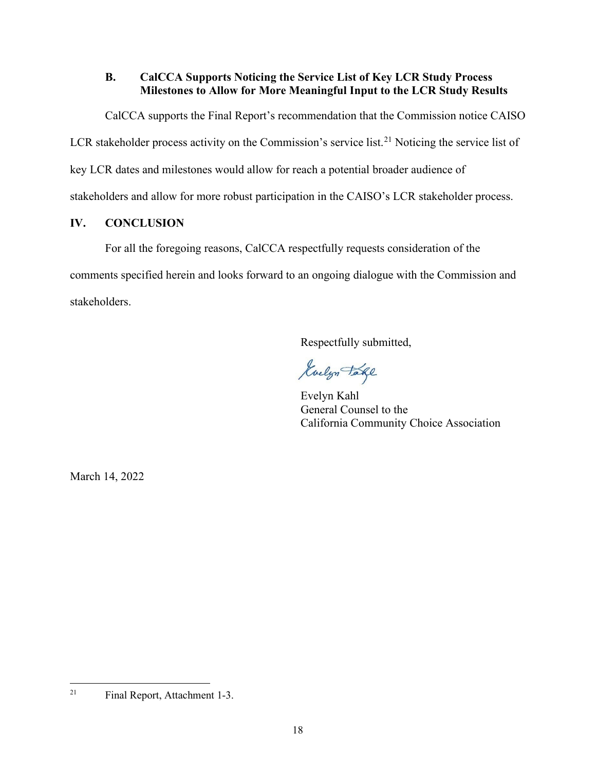# <span id="page-23-0"></span>**B. CalCCA Supports Noticing the Service List of Key LCR Study Process Milestones to Allow for More Meaningful Input to the LCR Study Results**

CalCCA supports the Final Report's recommendation that the Commission notice CAISO

LCR stakeholder process activity on the Commission's service list.<sup>21</sup> Noticing the service list of

key LCR dates and milestones would allow for reach a potential broader audience of

stakeholders and allow for more robust participation in the CAISO's LCR stakeholder process.

# <span id="page-23-1"></span>**IV. CONCLUSION**

For all the foregoing reasons, CalCCA respectfully requests consideration of the comments specified herein and looks forward to an ongoing dialogue with the Commission and stakeholders.

Respectfully submitted,

Guelyn Take

Evelyn Kahl General Counsel to the California Community Choice Association

March 14, 2022

<span id="page-23-3"></span><span id="page-23-2"></span><sup>21</sup> Final Report, Attachment 1-3.